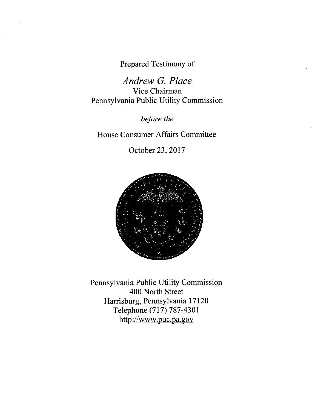Prepared Testimony of

Andrew G. Place Vice Chairman Pennsylvania Public Utility Commission

before the

House Consumer Affairs Committee

October 23, 2017



<u>http://www.puc.pa.gov</u> Pennsylvania Public Utility Commission 400 North Street Harrisburg, Pennsylvania 17120 Telephone (717) 787-4301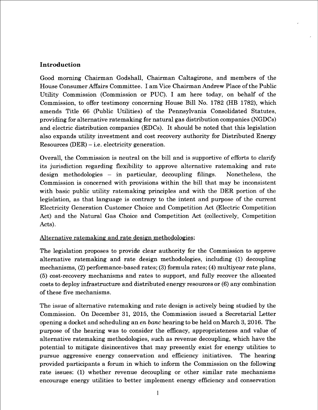## Introduction

Good morning Chairman Godshall, Chairman Caltagirone, and members of the House Consumer Affairs Committee. I am Vice Chairman Andrew Place of the Public Utility Commission (Commission or PUC). I am here today, on behalf of the Commission, to offer testimony concerning House Bill No. 1782 (HB 1782), which amends Title 66 (Public Utilities) of the Pennsylvania Consolidated Statutes, providing for alternative ratemaking for natural gas distribution companies (NGDCs) and electric distribution companies (EDCs). It should be noted that this legislation also expands utility investment and cost recovery authority for Distributed Energy  $Resources (DER) - i.e. electricity generation.$ 

Overall, the Commission is neutral on the bill and is supportive of efforts to clarify its jurisdiction regarding flexibility to approve alternative ratemaking and rate  $design$  methodologies  $-$  in particular, decoupling filings. Nonetheless, the Commission is concerned with provisions within the bill that may be inconsistent with basic public utility ratemaking principles and with the DER portion of the legislation, as that language is contrary to the intent and purpose of the current Electricity Generation Customer Choice and Competition Act (Electric Competition Act) and the Natural Gas Choice and Competition Act (collectively, Competition Acts).

## Alternative ratemaking and rate design methodologies:

The legislation proposes to provide clear authority for the Commission to approve alternative ratemaking and rate design methodologies, including (1) decoupling mechanisms, (2) performance-based rates; (3) formula rates; (4) multiyear rate plans, (5) cost-recovery mechanisms and rates to support, and fully recover the allocated costs to deploy in#astructure and distributed energy resources or (6) any combination of these five mechanisms.

The issue of alternative ratemaking and rate design is actively being studied by the Commission. On December 31, 2015, the Commission issued a Secretarial Letter opening a docket and scheduling an en banc hearing to be held on March 3, 2016. The purpose of the hearing was to consider the efficacy, appropriateness and value of alternative ratemaking methodologies, such as revenue decoupling, which have the potential to mitigate disincentives that may presently exist for energy utilities to pursue aggressive energy conservation and efficiency initiatives. The hearing provided participants a forum in which to inform the Commission on the following rate issues: (1) whether revenue decoupling or other similar rate mechanisms encourage energy utilities to better implement energy efficiency and conservation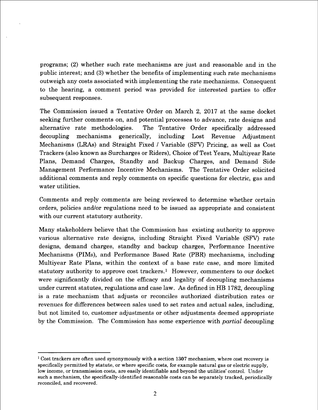programs; (2) whether such rate mechanisms are just and reasonable and in the public interest; and (3) whether the benefits of implementing such rate mechanisms outweigh any costs associated with implementing the rate mechanisms. Consequent to the hearing, a comment period was provided for interested parties to offer subsequent responses.

The Commission issued a Tentative Order on March 2, 2017 at the same docket seeking further comments on, and potential processes to advance, rate designs and alternative rate methodologies. The Tentative Order specifically addressed decoupling mechanisms generically, including Lost Revenue Adjustment Mechanisms (LRAs) and Straight Fixed / Variable (SFV) Pricing, as well as Cost Trackers (also known as Surcharges or Riders), Choice of Test Years, Multiyear Rate Plans, Demand Charges, Standby and Backup Charges, and Demand Side Management Performance Incentive Mechanisms. The Tentative Order solicited additional comments and reply comments on specific questions for electric, gas and water utilities.

Comments and reply comments are being reviewed to determine whether certain orders, policies and/or regulations need to be issued as appropriate and consistent with our current statutory authority.

Many stakeholders believe that the Commission has existing authority to approve various alternative rate designs, including Straight Fixed Variable (SFV) rate designs, demand charges, standby and backup charges, Performance Incentive Mechanisms (PIMs), and Performance Based Rate (PBR) mechanisms, including Multiyear Rate Plans, within the context of a base rate case, and more limited statutory authority to approve cost trackers.<sup>1</sup> However, commenters to our docket were significantly divided on the efficacy and legality of decoupling mechanisms under current statutes, regulations and case law. As defined in HB 1782, decoupling is a rate mechanism that adjusts or reconciles authorized distribution rates or revenues for differences between sales used to set rates and actual sales, including, but not limited to, customer adjustments or other adjustments deemed appropriate by the Commission. The Commission has some experience with *partial* decoupling

<sup>&</sup>lt;sup>1</sup> Cost trackers are often used synonymously with a section 1307 mechanism, where cost recovery is specifically permitted by statute, or where specific costs, for example natural gas or electric supply, low income, or transmission costs, are easily identifiable and beyond the utilities' control. Under such a mechanism, the specifically-identified reasonable costs can be separately tracked, periodically reconciled, and recovered.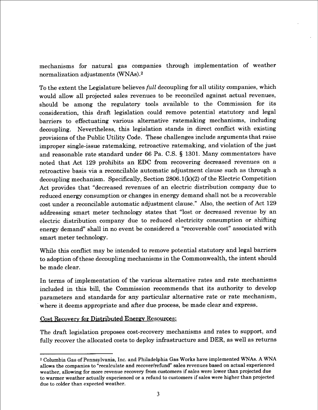mechanisms for natural gas companies through implementation of weather normalization adjustments(WNAs).2

To the extent the Legislature believes *full* decoupling for all utility companies, which would allow all projected sales revenues to be reconciled against actual revenues, should be among the regulatory tools available to the Commission for its consideration, this draft legislation could remove potential statutory and legal barriers to effectuating various alternative ratemaking mechanisms, including decoupling. Nevertheless, this legislation stands in direct conflict with existing provisions of the Public Utility Code. These challenges include arguments that raise improper single-issue ratemaking, retroactive ratemaking, and violation of the just and reasonable rate standard under 66 Pa. C.S. \$ 1301. Many commentators have noted that Act 129 prohibits an EDC from recovering decreased revenues on a retroactive basis via a reconcilable automatic adjustment clause such as through a decoupling mechanism. Specifically, Section  $2806.1(k)(2)$  of the Electric Competition Act provides that "decreased revenues of an electric distribution company due to reduced energy consumption or changes in energy demand shall not be a recoverable cost under a reconcilable automatic adjustment clause." Also, the section of Act 129 addressing smart meter technology states that "lost or decreased revenue by an electric distribution company due to reduced electricity consumption or shifting energy demand" shall in no event be considered a "recoverable cost" associated with smart meter technology.

While this conflict may be intended to remove potential statutory and legal barriers to adoption of these decoupling mechanisms in the Commonwealth, the intent should be made clear.

In terms of implementation of the various alternative rates and rate mechanisms included in this bill, the Commission recommends that its authority to develop parameters and standards for any particular alternative rate or rate mechanism, where it deems appropriate and after due process, be made clear and express.

Cost Recovery for Distributed Energy Resources:

The draft legislation proposes cost-recovery mechanisms and rates to support, and fully recover the allocated costs to deploy infrastructure and DER, as well as returns

<sup>2</sup> Columbia Gas of Pennsylvania, Inc. and Philadelphia Gas Works have implemented WNAs. A WNA allows the companies to "recalculate and recover/refund" sales revenues based on actual experienced weather, allowing for more revenue recovery from customers if sales were lower than projected due to warmer weather actually experienced or a refund to customers if sales were higher than projected due to colder than expected weather.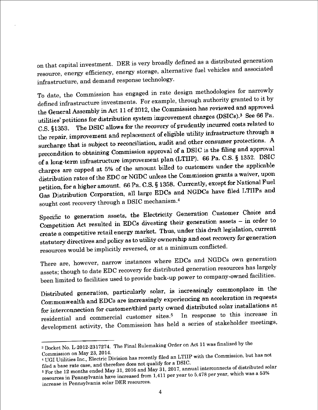on that capital investment. DER is very broadly defined as a distributed generation resource, energy efficiency, energy storage, alternative fuel vehicles and associated infrastructure, and demand response technology.

To date, the Commission has engaged in rate design methodologies for narrowly defined infrastructure investments. For example, through authority granted to it by the General Assembly in Act 11 of 2012, the Commission has reviewed and approved the General Assembly in Act 11 of 2012, the comment charges (DSICs).<sup>3</sup> See 66 Pa.<br>utilities' petitions for distribution system improvement charges (DSICs).<sup>3</sup> See 66 Pa. The DSIC allows for the recovery of prudently incurred costs related to  $C.S.$  §1353. the repair, improvement and replacement of eligible utility infrastructure through a<br>the repair, improvement and replacement of eligible utility infrastructure through a surcharge that is subject to reconciliation, audit and other consumer protections. A precondition to obtaining Commission approval of a DSIC is the filing and approval<br>grecondition to obtaining Commission approval of a DSIC is the filing and approval of a long-term infrastructure improvement plan (LTIIP). 66 Pa. C.S. § 1352. DSIC charges are capped at 5% of the amount billed to customers under the applicable charges are capped at 5% of the amount sensor is.<br>distribution rates of the EDC or NGDC unless the Commission grants a waiver, upon petition, for a higher amount. 66 Pa. C.S. § 1358. Currently, except for National Fuel Gas Distribution Corporation, all large EDCs and NGDCs have filed LTIIPs and sought cost recovery through a DSIC mechanism.4

Specific to generation assets, the Electricity Generation Customer Choice and Specific to generation assess, the EECs divesting their generation assets – in order to<br>Competition Act resulted in EDCs divesting their generation assets – in order to competition Act resulted in ED or throws of the staff legislation, current<br>create a competitive retail energy market. Thus, under this draft legislation, current statutory directives and policy as to utility ownership and cost recovery for generation resources would be implicitly reversed, or at a minimum conflicted.

There are, however, narrow instances where EDCs and NGDCs own generation assets; though to date EDC recovery for distributed generation resources has largely been limited to facilities used to provide back-up power to comp

Commonwealth and EDCs are increasingly experiencing an acceleration in requests for interconnection for customer/third party owned distributed solar installations at residential and commercial customer sites.<sup>5</sup> In response to this increase in development activity, the Commission has held a series of stakeholder meetings,

<sup>&</sup>lt;sup>3</sup> Docket No. L-2012-2317274. The Final Rulemaking Order on Act 11 was finalized by the Commission on May 23, 2014.

<sup>&</sup>lt;sup>4</sup> UGI Utilities Inc., Electric Division has recently filed an LTIIP with the Commission, but has not

filed a base rate case, and therefore does not qualify for a DSIC.<br>  $5$  For the 12 months ended May 31, 2016 and May 31, 2017, annual interconnects of distributed solar<br>
resources in Pennsylvania have increased from 1,411 increase in Pennsylvania solar DER resources.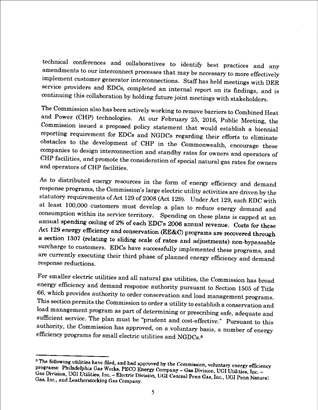technical conferences and collaboratives to identify best practices and any amendments to our interconnect processes that may be necessary to more effectively implement customer generator interconnections. Staff has held meetings with DER service providers and EDCs, completed an internal report on its findings, and is continuing this collaboration by holding future joint meetings with stakeholders .

The Commission also has been actively working to remove barriers to Combined Heat and Power (CHP) technologies. At our February 25, 2016, Public Meeting, the Commission issued a proposed policy statement that would establish a biennial reporting requirement for EDCs and NGDCs regarding their efforts to eliminate obstacles to the development of CHP in the Commonwealth, encourage these companies to design interconnection and standby rates for owners and operators of CHP facilities, and promote the consideration of special natural gas rates for owners and operators of CHP facilities.

As to distributed energy resources in the form of energy efficiency and demand response programs, the Commission's large electric utility activities are driven by the statutory requirements of Act 129 of 2008 (Act 129). Under Act 129, each EDC with at least 100,000 customers must develop a plan to reduce energy demand and consumption within its service territory. Spending on these plans is capped at an annual spending ceiling of 2% of each EDC's 2006 annual revenue. Costs for these Act 129 energy efficiency and conservation (EE&C) programs are recovered through a section 1307 (relating to sliding scale of rates and adjustments) non-bypassable surcharge to customers. EDCs have successfully implemented these programs, and are currently executing their third phase of planned energy efficiency and demand response reductions.

For smaller electric utilities and all natural gas utilities, the Commission has broad energy efficiency and demand response authority pursuant to Section 1505 of Title 66, which provides authority to order conservation and load management programs. This section permits the Commission to order a utility to establish a conservation and load management program as part of determining or prescribing safe, adequate and sufficient service. The plan must be "prudent and cost-effective." Pursuant to this authority, the Commission has approved, on a voluntary basis, a number of energy efficiency programs for small electric utilities and NGDCs.<sup>6</sup>

<sup>&</sup>lt;sup>6</sup> The following utilities have filed, and had approved by the Commission, voluntary energy efficiency<br>programs: Philadelphia Gas Works, PECO Branch Commission, voluntary energy efficiency programs: Philadelphia Gas Works, PECO Energy Company - Gas Division, UGI Utilities, Inc. -<br>Gas Division HGI Utilities Inc. - Flashia Division HGI Utilities, Inc. -Gas Division, UGI Utilities, Inc. – Electric Division, UGI Central Penn Gas, Inc. UGI Utilities, Inc. –<br>Gas Division, UGI Utilities, Inc. – Electric Division, UGI Central Penn Gas, Inc., UGI Penn Natural<br>Gas. Inc., and Lea Gas, Inc., and Leatherstocking Gas Company.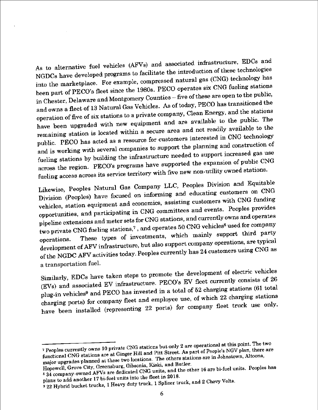As to alternative fuel vehicles (AFVs) and associated infrastructure, EDCs and NGDCs have developed programs to facilitate the introduction of these technologies into the marketplace. For example, compressed natural gas (CNG) technology has been part of PECO's fleet since the 1980s. PECO operates six CNG fueling stations in Chester, Delaware and Montgomery Counties - five of these are open to the public, and owns a fleet of 13 Natural Gas Vehicles. As of today, PECO has transitioned the operation of five of six stations to a private company, Clean Energy, and the stations have been upgraded with new equipment and are available to the public. The remaining station is located within a secure area and not readily available to the public. PECO has acted as a resource for customers interested in CNG technology and is working with several companies to support the planning and construction of fueling stations by building the infrastructure needed to support increased gas use across the region. PECO's programs have supported the expansion of public CNG fueling access across its service territory with five new non-utility owned stations.

Likewise, Peoples Natural Gas Company LLC, Peoples Division and Equitable Division (Peoples) have focused on informing and educating customers on CNG vehicles, station equipment and economics, assisting customers with CNG funding opportunities, and participating in CNG committees and events. Peoples provides pipeline extensions and meter sets for CNG stations, and currently owns and operates two private CNG fueling stations,<sup>7</sup>, and operates 50 CNG vehicles<sup>8</sup> used for company These types of investments, which mainly support third party operations. development of AFV infrastructure, but also support company operations, are typical of the NGDC AFV activities today. Peoples currently has 24 customers using CNG as a transportation fuel.

Similarly, EDCs have taken steps to promote the development of electric vehicles (EVs) and associated EV infrastructure. PECO's EV fleet currently consists of 26 plug-in vehicles<sup>9</sup> and PECO has invested in a total of 52 charging stations (61 total charging ports) for company fleet and employee use, of which 22 charging stations have been installed (representing 22 ports) for company fleet truck use only.

<sup>&</sup>lt;sup>7</sup> Peoples currently owns 10 private CNG stations but only 2 are operational at this point. The two functional CNG stations are at Ginger Hill and Pitt Street. As part of People's NGV plan, there are major upgrades planned at these two locations. The others stations are in Johnstown, Altoona, Hopewell, Grove City, Greensburg, Gibsonia, Kiski, and Butler.

<sup>834</sup> company-owned AFVs are dedicated CNG units, and the other 16 are bi-fuel units. Peoples has plans to add another 17 bi-fuel units into the fleet in 2018.

 $\frac{1}{9}$  22 Hybrid bucket trucks, 1 Heavy duty truck, 1 Splicer truck, and 2 Chevy Volts.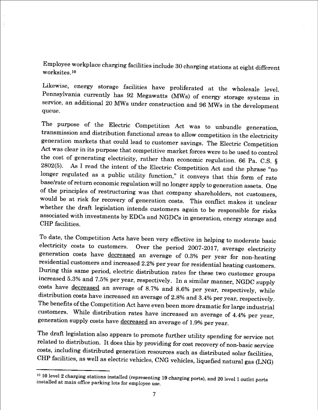Employee workplace charging facilities include 30 charging stations at eight different worksites . io

Likewise, energy storage facilities have proliferated at the wholesale level. Pennsylvania currently has 92 Megawatts (MWs) of energy storage systems in service, an additional 20 MWs under construction and 96 MWs in the development queue.

The purpose of the Electric Competition Act was to unbundle generation, transmission and distribution functional areas to allow competition in the electricity generation markets that could lead to customer savings. The Electric Competition Act was clear in its purpose that competitive market forces were to be used to control the cost of generating electricity, rather than economic regulation. 66 Pa. C.S. \$ 2802(5). As I read the intent of the Electric Competition Act and the phrase "no longer regulated as a public utility function," it conveys that this form of rate base/rate of return economic regulation will no longer apply to generation assets. One of the principles of restructuring was that company shareholders, not customers. would be at risk for recovery of generation costs. This conflict makes it unclear whether the draft legislation intends customers again to be responsible for risks associated with investments by EDCs and NGDCs in generation, energy storage and CHP facilities.

To date, the Competition Acts have been very effective in helping to moderate basic<br>electricity costs to customers. Over the neriod 2007-2017 average electricity Over the period 2007-2017, average electricity generation costs have decreased an average of 0.3% per year for non-heating residential customers and increased 2.2% per year for residential heating customers. During this same period, electric distribution rates for these two customer groups increased 5.3% and 7.5% per year, respectively. In a similar manner, NGDC supply costs have decreased an average of 8.7% and 8.6% per year, respectively, while distribution costs have increased an average of 2.8% and 3.4% per year, respectively. The benefits of the Competition Act have even been more dramatic for large industrial customers. While distribution rates have increased an average of 4.4% per year, generation supply costs have decreased an average of 1.9% per year.

The draft legislation also appears to promote further utility spending for service not related to distribution. It does this by providing for cost recovery of non-basic service costs, including distributed generation resources such as distributed solar facilities, CHP facilities, as well as electric vehicles, CNG vehicles, liquefied natural gas (LNG)

 $10$  10 level 2 charging stations installed (representing 19 charging ports), and 20 level 1 outlet ports installed at main office parking lots for employee use.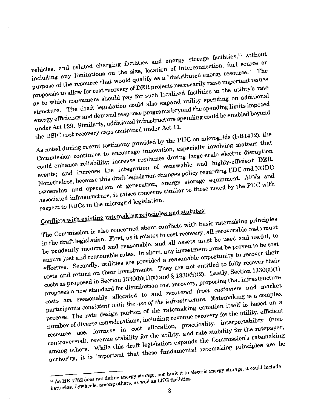vehicles, and related charging facilities and energy storage facilities,<sup>11</sup> without including any limitations on the size, location of interconnection, fuel source or purpose of the resource that would qualify as a "distributed energy resource." The proposals to allow for cost recovery of DER projects necessarily raise important issues as to which consumers should pay for such localized facilities in the utility's rate structure. The draft legislation could also expand utility spending on additional energy efficiency and demand response programs beyond the spending limits imposed under Act 129. Similarly, additional infrastructure spending could be enabled beyond

the DSIC cost recovery caps contained under Act 11. As noted during recent testimony provided by the PUC on microgrids (HB1412), the Commission continues to encourage innovation, especially involving matters that could enhance reliability; increase resilience during large-scale electric disruption events; and increase the integration of renewable and highly-efficient DER. Nonetheless, because this draft legislation changes policy regarding EDC and NGDC ownership and operation of generation, energy storage equipment, AFVs and associated infrastructure, it raises concerns similar to those noted by the PUC with respect to EDCs in the microgrid legislation.

Conflicts with existing ratemaking principles and statutes:

The Commission is also concerned about conflicts with basic ratemaking principles in the draft legislation. First, as it relates to cost recovery, all recoverable costs must be prudently incurred and reasonable, and all assets must be used and useful, to ensure just and reasonable rates. In short, any investment must be proven to be cost effective. Secondly, utilities are provided a reasonable opportunity to recover their costs and return on their investments. They are not entitled to fully recover their costs as proposed in Section 1330(b)(1)(v) and § 1330(b)(2). Lastly, Section 1330(a)(1) proposes a new standard for distribution cost recovery, proposing that infrastructure costs are reasonably allocated to and recovered from customers and market participants consistent with the use of the infrastructure. Ratemaking is a complex process. The rate design portion of the ratemaking equation itself is based on a number of diverse considerations, including revenue recovery for the utility, efficient resource use, fairness in cost allocation, practicality, interpretability (noncontroversial), revenue stability for the utility, and rate stability for the ratepayer, among others. While this draft legislation expands the Commission's ratemaking authority, it is important that these fundamental ratemaking principles are be

<sup>&</sup>lt;sup>11</sup> As HB 1782 does not define energy storage, nor limit it to electric energy storage, it could include batteries, flywheels, among others, as well as LNG facilities.